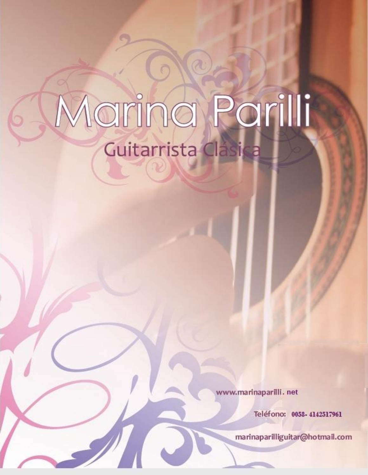# Marina Parilli Guitarrista Clasica

www.marinaparilli.net

Teléfono: 0058-4142517961

marinaparilliguitar@hotmail.com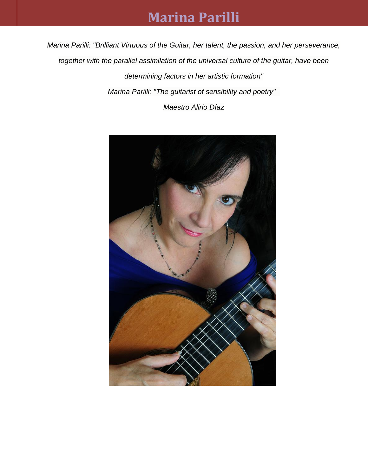## **Marina Parilli**

*Marina Parilli: "Brilliant Virtuous of the Guitar, her talent, the passion, and her perseverance, together with the parallel assimilation of the universal culture of the guitar, have been determining factors in her artistic formation" Marina Parilli: "The guitarist of sensibility and poetry" Maestro Alirio Díaz*

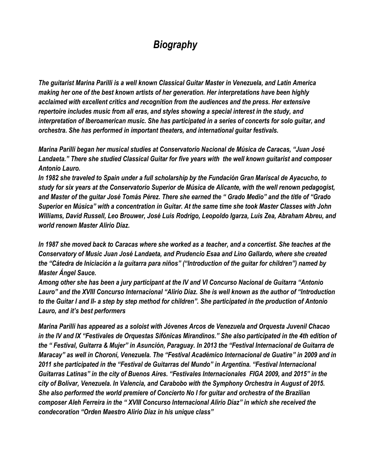## *Biography*

*The guitarist Marina Parilli is a well known Classical Guitar Master in Venezuela, and Latin America making her one of the best known artists of her generation. Her interpretations have been highly acclaimed with excellent critics and recognition from the audiences and the press. Her extensive repertoire includes music from all eras, and styles showing a special interest in the study, and interpretation of Iberoamerican music. She has participated in a series of concerts for solo guitar, and orchestra. She has performed in important theaters, and international guitar festivals.*

*Marina Parilli began her musical studies at Conservatorio Nacional de Música de Caracas, "Juan José Landaeta." There she studied Classical Guitar for five years with the well known guitarist and composer Antonio Lauro.*

*In 1982 she traveled to Spain under a full scholarship by the Fundación Gran Mariscal de Ayacucho, to study for six years at the Conservatorio Superior de Música de Alicante, with the well renown pedagogist, and Master of the guitar José Tomás Pérez. There she earned the " Grado Medio" and the title of "Grado Superior en Música" with a concentration in Guitar. At the same time she took Master Classes with John Williams, David Russell, Leo Brouwer, José Luis Rodrigo, Leopoldo Igarza, Luis Zea, Abraham Abreu, and world renown Master Alirio Díaz.*

*In 1987 she moved back to Caracas where she worked as a teacher, and a concertist. She teaches at the Conservatory of Music Juan José Landaeta, and Prudencio Esaa and Lino Gallardo, where she created the "Cátedra de Iniciación a la guitarra para niños" ("Introduction of the guitar for children") named by Master Ángel Sauce.*

*Among other she has been a jury participant at the IV and VI Concurso Nacional de Guitarra "Antonio Lauro" and the XVIII Concurso Internacional "Alirio Díaz. She is well known as the author of "Introduction to the Guitar I and II- a step by step method for children". She participated in the production of Antonio Lauro, and it's best performers*

*Marina Parilli has appeared as a soloist with Jóvenes Arcos de Venezuela and Orquesta Juvenil Chacao in the IV and IX "Festivales de Orquestas Sifónicas Mirandinos." She also participated in the 4th edition of the " Festival, Guitarra & Mujer" in Asunción, Paraguay. In 2013 the "Festival Internacional de Guitarra de Maracay" as well in Choroní, Venezuela. The "Festival Académico Internacional de Guatire" in 2009 and in 2011 she participated in the "Festival de Guitarras del Mundo" in Argentina. "Festival Internacional Guitarras Latinas" in the city of Buenos Aires. "Festivales Internacionales FIGA 2009, and 2015" in the city of Bolívar, Venezuela. In Valencia, and Carabobo with the Symphony Orchestra in August of 2015. She also performed the world premiere of Concierto No I for guitar and orchestra of the Brazilian composer Aleh Ferreira in the " XVIII Concurso Internacional Alirio Díaz" in which she received the condecoration "Orden Maestro Alirio Díaz in his unique class"*